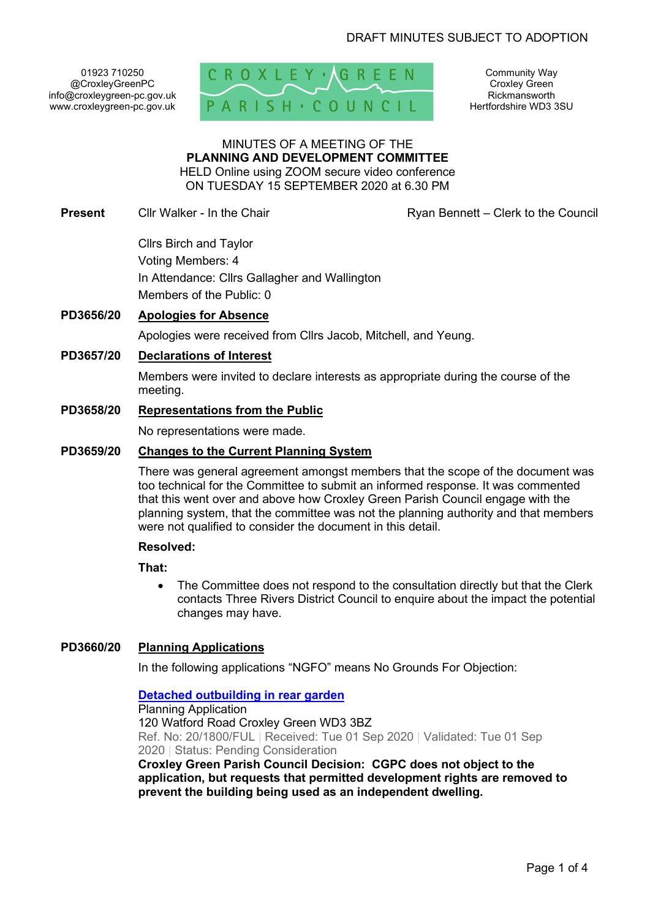01923 710250 @CroxleyGreenPC info@croxleygreen-pc.gov.uk www.croxleygreen-pc.gov.uk



Community Way Croxley Green Rickmansworth Hertfordshire WD3 3SU

#### MINUTES OF A MEETING OF THE **PLANNING AND DEVELOPMENT COMMITTEE** HELD Online using ZOOM secure video conference

ON TUESDAY 15 SEPTEMBER 2020 at 6.30 PM

**Present** Cllr Walker - In the Chair **Ryan Bennett** – Clerk to the Council

Cllrs Birch and Taylor Voting Members: 4 In Attendance: Cllrs Gallagher and Wallington Members of the Public: 0

# **PD3656/20 Apologies for Absence**

Apologies were received from Cllrs Jacob, Mitchell, and Yeung.

# **PD3657/20 Declarations of Interest**

Members were invited to declare interests as appropriate during the course of the meeting.

## **PD3658/20 Representations from the Public**

No representations were made.

## **PD3659/20 Changes to the Current Planning System**

There was general agreement amongst members that the scope of the document was too technical for the Committee to submit an informed response. It was commented that this went over and above how Croxley Green Parish Council engage with the planning system, that the committee was not the planning authority and that members were not qualified to consider the document in this detail.

### **Resolved:**

**That:** 

• The Committee does not respond to the consultation directly but that the Clerk contacts Three Rivers District Council to enquire about the impact the potential changes may have.

# **PD3660/20 Planning Applications**

In the following applications "NGFO" means No Grounds For Objection:

# **Detached outbuilding in rear garden**

Planning Application 120 Watford Road Croxley Green WD3 3BZ Ref. No: 20/1800/FUL | Received: Tue 01 Sep 2020 | Validated: Tue 01 Sep 2020 | Status: Pending Consideration

**Croxley Green Parish Council Decision: CGPC does not object to the application, but requests that permitted development rights are removed to prevent the building being used as an independent dwelling.**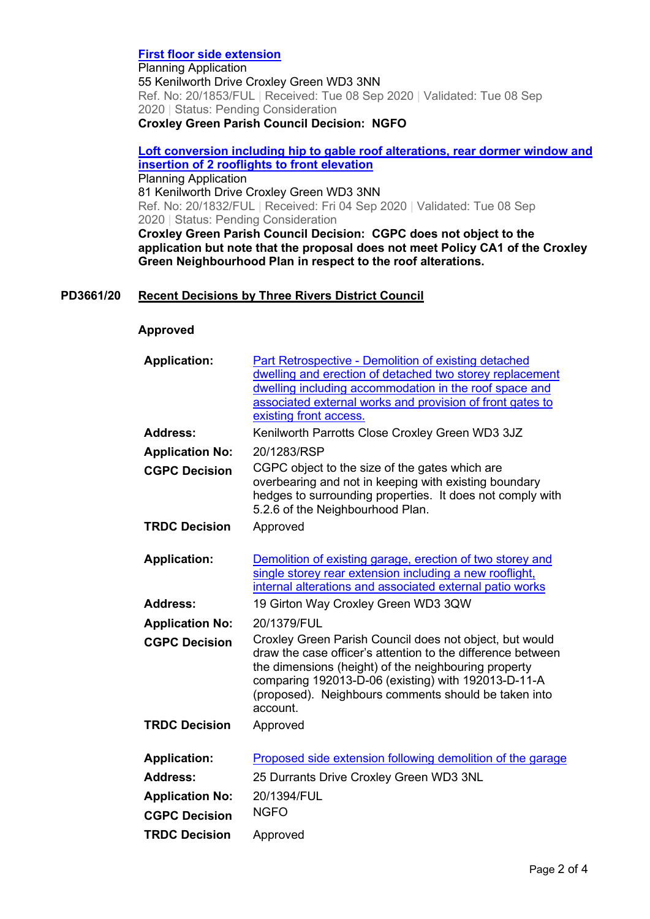## **First floor side extension**

Planning Application 55 Kenilworth Drive Croxley Green WD3 3NN Ref. No: 20/1853/FUL | Received: Tue 08 Sep 2020 | Validated: Tue 08 Sep 2020 | Status: Pending Consideration **Croxley Green Parish Council Decision: NGFO**

**Loft conversion including hip to gable roof alterations, rear dormer window and insertion of 2 rooflights to front elevation** Planning Application 81 Kenilworth Drive Croxley Green WD3 3NN Ref. No: 20/1832/FUL | Received: Fri 04 Sep 2020 | Validated: Tue 08 Sep

2020 | Status: Pending Consideration **Croxley Green Parish Council Decision: CGPC does not object to the application but note that the proposal does not meet Policy CA1 of the Croxley Green Neighbourhood Plan in respect to the roof alterations.** 

# **PD3661/20 Recent Decisions by Three Rivers District Council**

#### **Approved**

| <b>Application:</b>    | <b>Part Retrospective - Demolition of existing detached</b><br>dwelling and erection of detached two storey replacement<br>dwelling including accommodation in the roof space and<br>associated external works and provision of front gates to<br>existing front access.                                  |
|------------------------|-----------------------------------------------------------------------------------------------------------------------------------------------------------------------------------------------------------------------------------------------------------------------------------------------------------|
| <b>Address:</b>        | Kenilworth Parrotts Close Croxley Green WD3 3JZ                                                                                                                                                                                                                                                           |
| <b>Application No:</b> | 20/1283/RSP                                                                                                                                                                                                                                                                                               |
| <b>CGPC Decision</b>   | CGPC object to the size of the gates which are<br>overbearing and not in keeping with existing boundary<br>hedges to surrounding properties. It does not comply with<br>5.2.6 of the Neighbourhood Plan.                                                                                                  |
| <b>TRDC Decision</b>   | Approved                                                                                                                                                                                                                                                                                                  |
| <b>Application:</b>    | Demolition of existing garage, erection of two storey and<br>single storey rear extension including a new rooflight,<br>internal alterations and associated external patio works                                                                                                                          |
| <b>Address:</b>        | 19 Girton Way Croxley Green WD3 3QW                                                                                                                                                                                                                                                                       |
| <b>Application No:</b> | 20/1379/FUL                                                                                                                                                                                                                                                                                               |
| <b>CGPC Decision</b>   | Croxley Green Parish Council does not object, but would<br>draw the case officer's attention to the difference between<br>the dimensions (height) of the neighbouring property<br>comparing 192013-D-06 (existing) with 192013-D-11-A<br>(proposed). Neighbours comments should be taken into<br>account. |
| <b>TRDC Decision</b>   | Approved                                                                                                                                                                                                                                                                                                  |
| <b>Application:</b>    | Proposed side extension following demolition of the garage                                                                                                                                                                                                                                                |
| <b>Address:</b>        | 25 Durrants Drive Croxley Green WD3 3NL                                                                                                                                                                                                                                                                   |
| <b>Application No:</b> | 20/1394/FUL                                                                                                                                                                                                                                                                                               |
| <b>CGPC Decision</b>   | <b>NGFO</b>                                                                                                                                                                                                                                                                                               |
| <b>TRDC Decision</b>   | Approved                                                                                                                                                                                                                                                                                                  |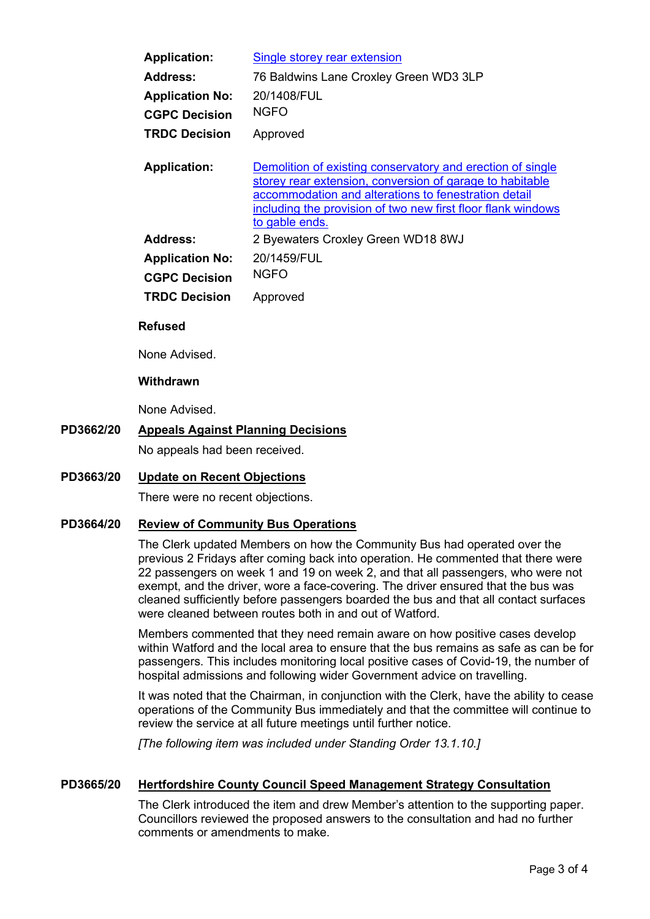| <b>Application:</b>    | Single storey rear extension                                                                                                                                                                                                                                     |
|------------------------|------------------------------------------------------------------------------------------------------------------------------------------------------------------------------------------------------------------------------------------------------------------|
| Address:               | 76 Baldwins Lane Croxley Green WD3 3LP                                                                                                                                                                                                                           |
| <b>Application No:</b> | 20/1408/FUL                                                                                                                                                                                                                                                      |
| <b>CGPC Decision</b>   | <b>NGFO</b>                                                                                                                                                                                                                                                      |
| <b>TRDC Decision</b>   | Approved                                                                                                                                                                                                                                                         |
| <b>Application:</b>    | Demolition of existing conservatory and erection of single<br>storey rear extension, conversion of garage to habitable<br>accommodation and alterations to fenestration detail<br>including the provision of two new first floor flank windows<br>to gable ends. |
| <b>Address:</b>        | 2 Byewaters Croxley Green WD18 8WJ                                                                                                                                                                                                                               |
| <b>Application No:</b> | 20/1459/FUL                                                                                                                                                                                                                                                      |
| <b>CGPC Decision</b>   | <b>NGFO</b>                                                                                                                                                                                                                                                      |
| <b>TRDC Decision</b>   | Approved                                                                                                                                                                                                                                                         |

### **Refused**

None Advised.

## **Withdrawn**

None Advised.

# **PD3662/20 Appeals Against Planning Decisions**

No appeals had been received.

# **PD3663/20 Update on Recent Objections**

There were no recent objections.

### **PD3664/20 Review of Community Bus Operations**

The Clerk updated Members on how the Community Bus had operated over the previous 2 Fridays after coming back into operation. He commented that there were 22 passengers on week 1 and 19 on week 2, and that all passengers, who were not exempt, and the driver, wore a face-covering. The driver ensured that the bus was cleaned sufficiently before passengers boarded the bus and that all contact surfaces were cleaned between routes both in and out of Watford.

Members commented that they need remain aware on how positive cases develop within Watford and the local area to ensure that the bus remains as safe as can be for passengers. This includes monitoring local positive cases of Covid-19, the number of hospital admissions and following wider Government advice on travelling.

It was noted that the Chairman, in conjunction with the Clerk, have the ability to cease operations of the Community Bus immediately and that the committee will continue to review the service at all future meetings until further notice.

*[The following item was included under Standing Order 13.1.10.]* 

### **PD3665/20 Hertfordshire County Council Speed Management Strategy Consultation**

The Clerk introduced the item and drew Member's attention to the supporting paper. Councillors reviewed the proposed answers to the consultation and had no further comments or amendments to make.